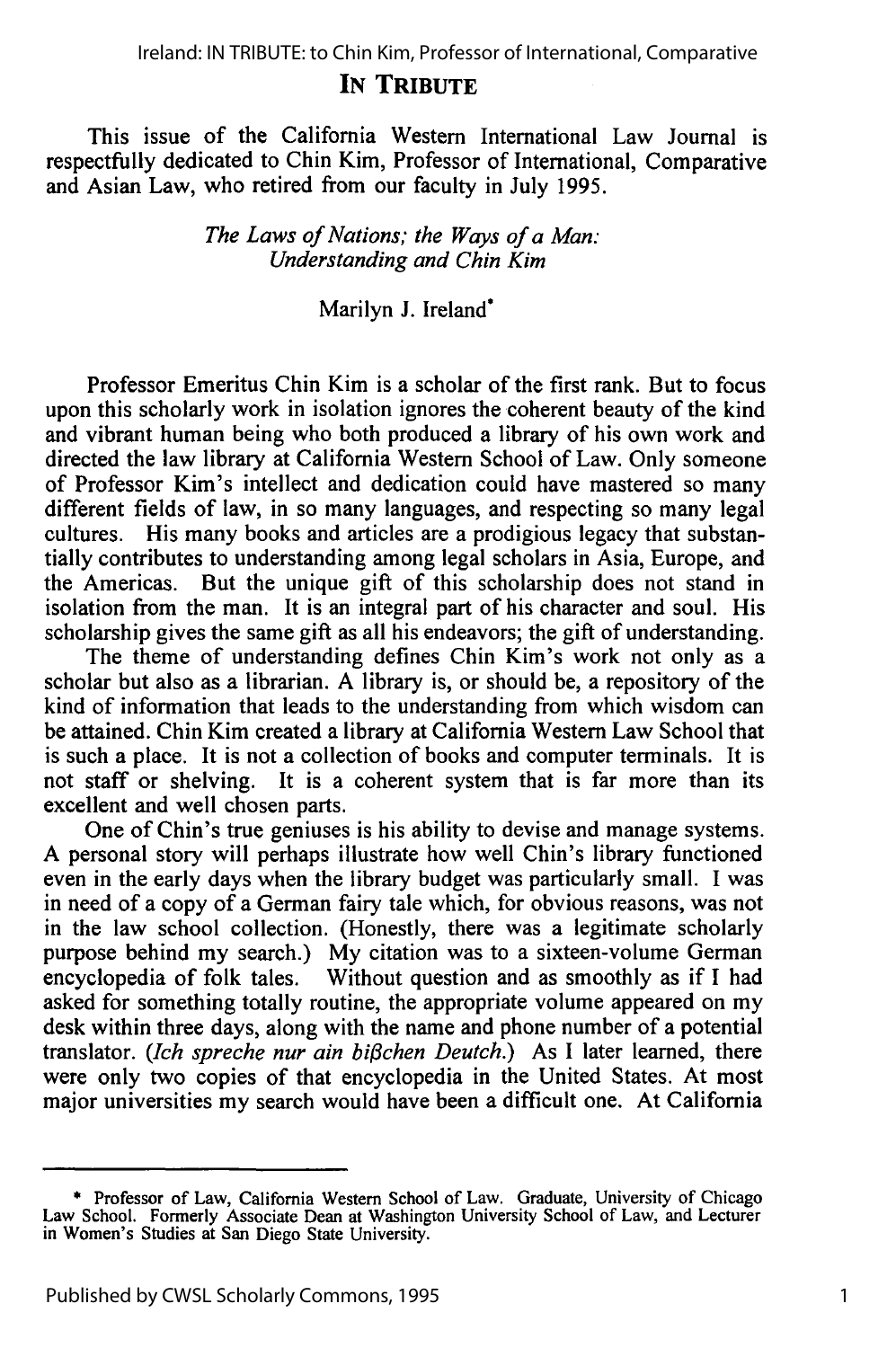## **IN TRIBUTE**

This issue of the California Western International Law Journal is respectfully dedicated to Chin Kim, Professor of International, Comparative and Asian Law, who retired from our faculty in July 1995.

> *The Laws of Nations; the Ways of a Man: Understanding and Chin Kim*

> > Marilyn **J.** Ireland\*

Professor Emeritus Chin Kim is a scholar of the first rank. But to focus upon this scholarly work in isolation ignores the coherent beauty of the kind and vibrant human being who both produced a library of his own work and directed the law library at California Western School of Law. Only someone of Professor Kim's intellect and dedication could have mastered so many different fields of law, in so many languages, and respecting so many legal cultures. His many books and articles are a prodigious legacy that substantially contributes to understanding among legal scholars in Asia, Europe, and the Americas. But the unique gift of this scholarship does not stand in isolation from the man. It is an integral part of his character and soul. His scholarship gives the same gift as all his endeavors; the gift of understanding.

The theme of understanding defines Chin Kim's work not only as a scholar but also as a librarian. A library is, or should be, a repository of the kind of information that leads to the understanding from which wisdom can be attained. Chin Kim created a library at California Western Law School that is such a place. It is not a collection of books and computer terminals. It is not staff or shelving. It is a coherent system that is far more than its excellent and well chosen parts.

One of Chin's true geniuses is his ability to devise and manage systems. A personal story will perhaps illustrate how well Chin's library functioned even in the early days when the library budget was particularly small. I was in need of a copy of a German fairy tale which, for obvious reasons, was not in the law school collection. (Honestly, there was a legitimate scholarly purpose behind my search.) My citation was to a sixteen-volume German encyclopedia of folk tales. Without question and as smoothly as if I had asked for something totally routine, the appropriate volume appeared on my desk within three days, along with the name and phone number of a potential translator. *(Ich spreche nur ain bißchen Deutch.)* As I later learned, there were only two copies of that encyclopedia in the United States. At most major universities my search would have been a difficult one. At California

<sup>\*</sup> Professor of Law, California Western School of Law. Graduate, University of Chicago Law School. Formerly Associate Dean at Washington University School of Law, and Lecture<br>in Women's Studies at San Diego State University.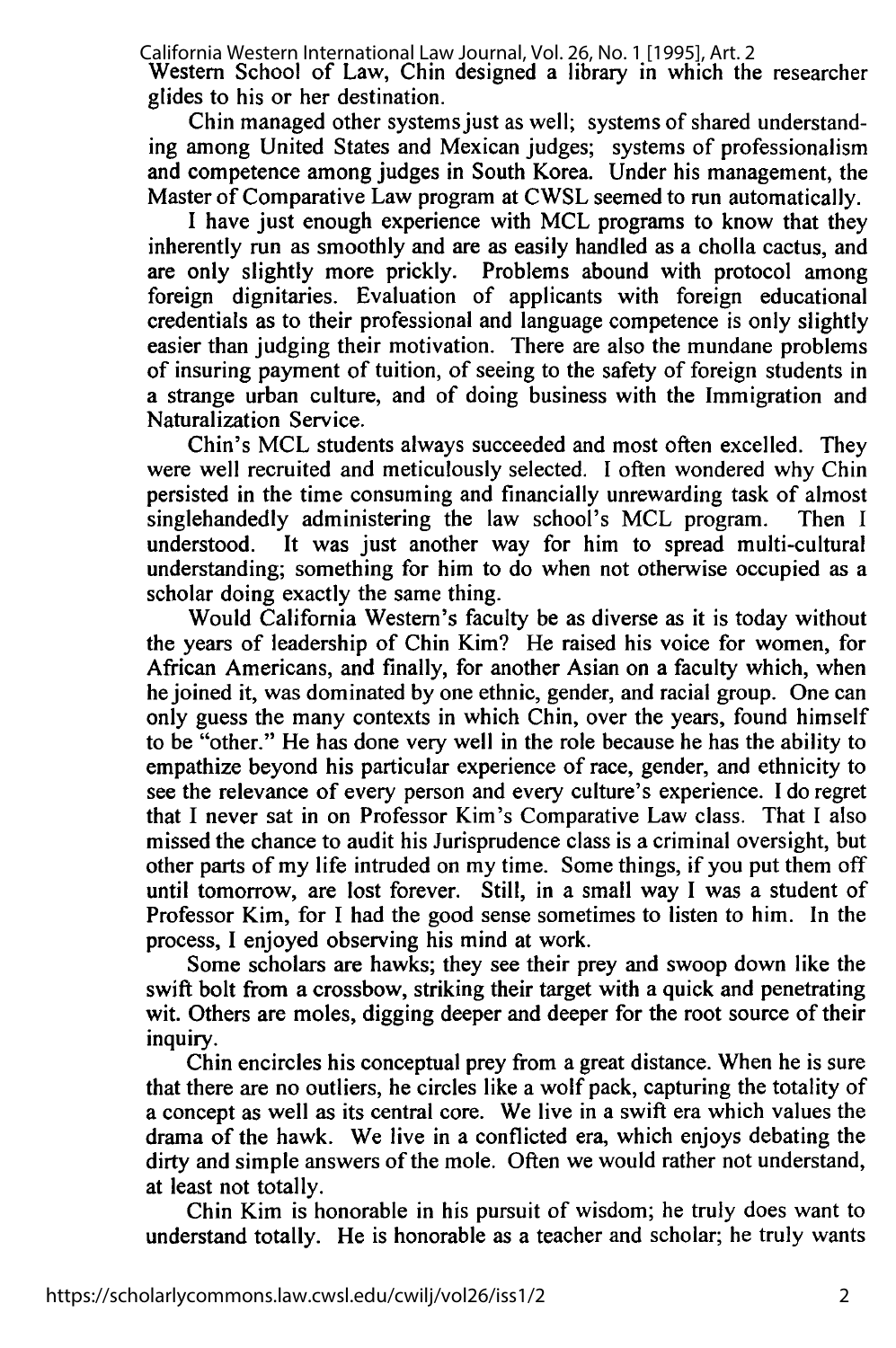California Western International Law Journal, Vol. 26, No. 1 [1995], Art. 2

Western School of Law, Chin designed a library in which the researcher glides to his or her destination.

Chin managed other systemsjust as well; systems of shared understanding among United States and Mexican judges; systems of professionalism and competence among judges in South Korea. Under his management, the Master of Comparative Law program at CWSL seemed to run automatically.

I have just enough experience with MCL programs to know that they inherently run as smoothly and are as easily handled as a cholla cactus, and are only slightly more prickly. Problems abound with protocol among foreign dignitaries. Evaluation of applicants with foreign educational credentials as to their professional and language competence is only slightly easier than judging their motivation. There are also the mundane problems of insuring payment of tuition, of seeing to the safety of foreign students in a strange urban culture, and of doing business with the Immigration and Naturalization Service.

Chin's MCL students always succeeded and most often excelled. They were well recruited and meticulously selected. I often wondered why Chin persisted in the time consuming and financially unrewarding task of almost singlehandedly administering the law school's MCL program. Then I understood. It was just another way for him to spread multi-cultural understanding; something for him to do when not otherwise occupied as a scholar doing exactly the same thing.

Would California Western's faculty be as diverse as it is today without the years of leadership of Chin Kim? He raised his voice for women, for African Americans, and finally, for another Asian on a faculty which, when he joined it, was dominated by one ethnic, gender, and racial group. One can only guess the many contexts in which Chin, over the years, found himself to be "other." He has done very well in the role because he has the ability to empathize beyond his particular experience of race, gender, and ethnicity to see the relevance of every person and every culture's experience. I do regret that I never sat in on Professor Kim's Comparative Law class. That I also missed the chance to audit his Jurisprudence class is a criminal oversight, but other parts of my life intruded on my time. Some things, if you put them off until tomorrow, are lost forever. Still, in a small way I was a student of Professor Kim, for I had the good sense sometimes to listen to him. In the process, I enjoyed observing his mind at work.

Some scholars are hawks; they see their prey and swoop down like the swift bolt from a crossbow, striking their target with a quick and penetrating wit. Others are moles, digging deeper and deeper for the root source of their inquiry.

Chin encircles his conceptual prey from a great distance. When he is sure that there are no outliers, he circles like a wolf pack, capturing the totality of a concept as well as its central core. We live in a swift era which values the drama of the hawk. We live in a conflicted era, which enjoys debating the dirty and simple answers of the mole. Often we would rather not understand, at least not totally.

Chin Kim is honorable in his pursuit of wisdom; he truly does want to understand totally. He is honorable as a teacher and scholar; he truly wants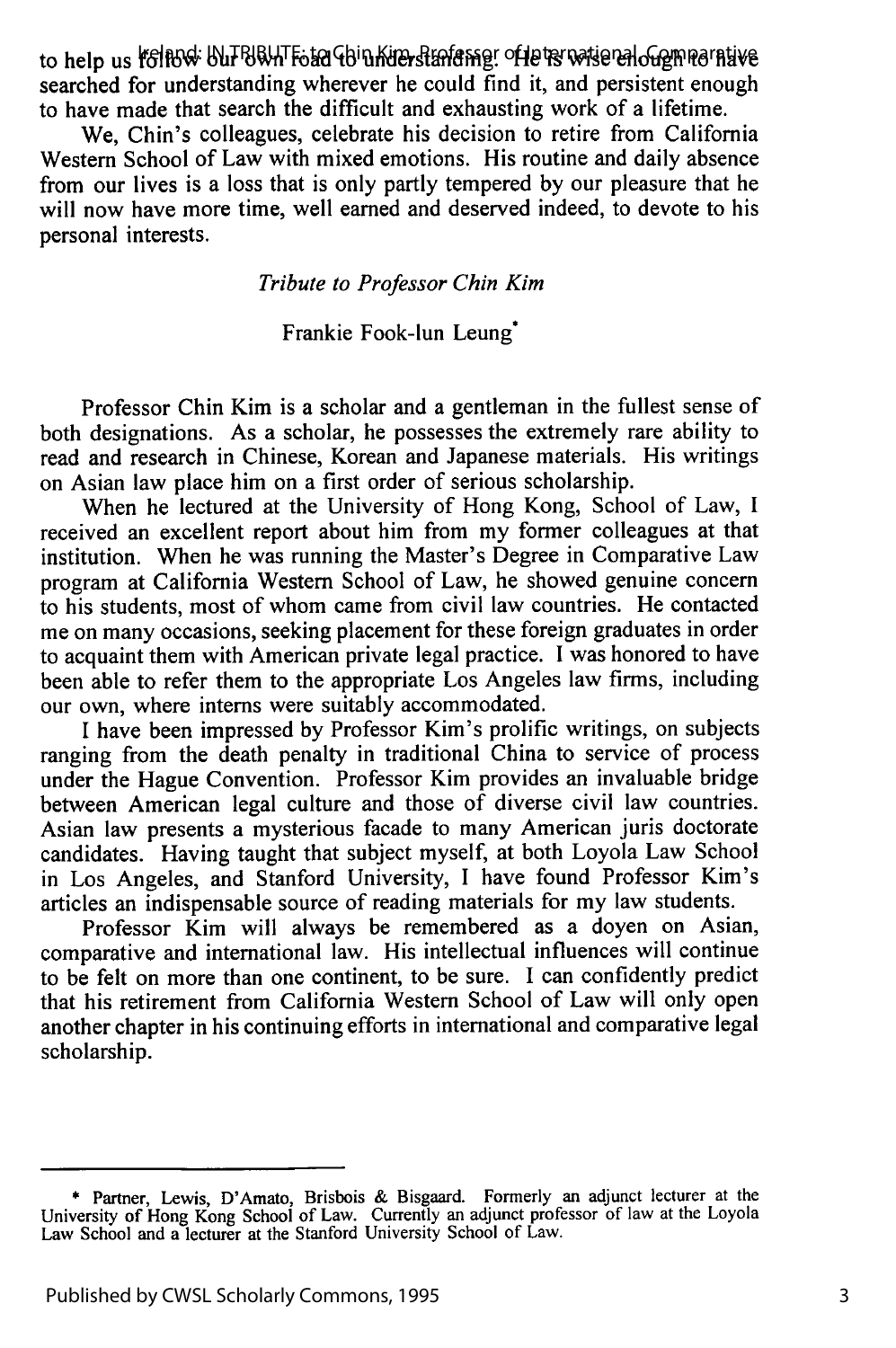to help us follow our own road to understanding. He is wise enough to have Ireland: IN TRIBUTE: to Chin Kim, Professor of International, Comparative searched for understanding wherever he could find it, and persistent enough to have made that search the difficult and exhausting work of a lifetime.

We, Chin's colleagues, celebrate his decision to retire from California Western School of Law with mixed emotions. His routine and daily absence from our lives is a loss that is only partly tempered by our pleasure that he will now have more time, well earned and deserved indeed, to devote to his personal interests.

## *Tribute to Professor Chin Kim*

## Frankie Fook-lun Leung\*

Professor Chin Kim is a scholar and a gentleman in the fullest sense of both designations. As a scholar, he possesses the extremely rare ability to read and research in Chinese, Korean and Japanese materials. His writings on Asian law place him on a first order of serious scholarship.

When he lectured at the University of Hong Kong, School of Law, I received an excellent report about him from my former colleagues at that institution. When he was running the Master's Degree in Comparative Law program at California Western School of Law, he showed genuine concern to his students, most of whom came from civil law countries. He contacted me on many occasions, seeking placement for these foreign graduates in order to acquaint them with American private legal practice. I was honored to have been able to refer them to the appropriate Los Angeles law firms, including our own, where interns were suitably accommodated.

I have been impressed by Professor Kim's prolific writings, on subjects ranging from the death penalty in traditional China to service of process under the Hague Convention. Professor Kim provides an invaluable bridge between American legal culture and those of diverse civil law countries. Asian law presents a mysterious facade to many American juris doctorate candidates. Having taught that subject myself, at both Loyola Law School in Los Angeles, and Stanford University, I have found Professor Kim's articles an indispensable source of reading materials for my law students.

Professor Kim will always be remembered as a doyen on Asian, comparative and international law. His intellectual influences will continue to be felt on more than one continent, to be sure. I can confidently predict that his retirement from California Western School of Law will only open another chapter in his continuing efforts in international and comparative legal scholarship.

<sup>\*</sup> Partner, Lewis, D'Amato, Brisbois & Bisgaard. Formerly an adjunct lecturer at the University of Hong Kong School of Law. Currently an adjunct professor of law at the Loyola Law School and a lecturer at the Stanford University School of Law.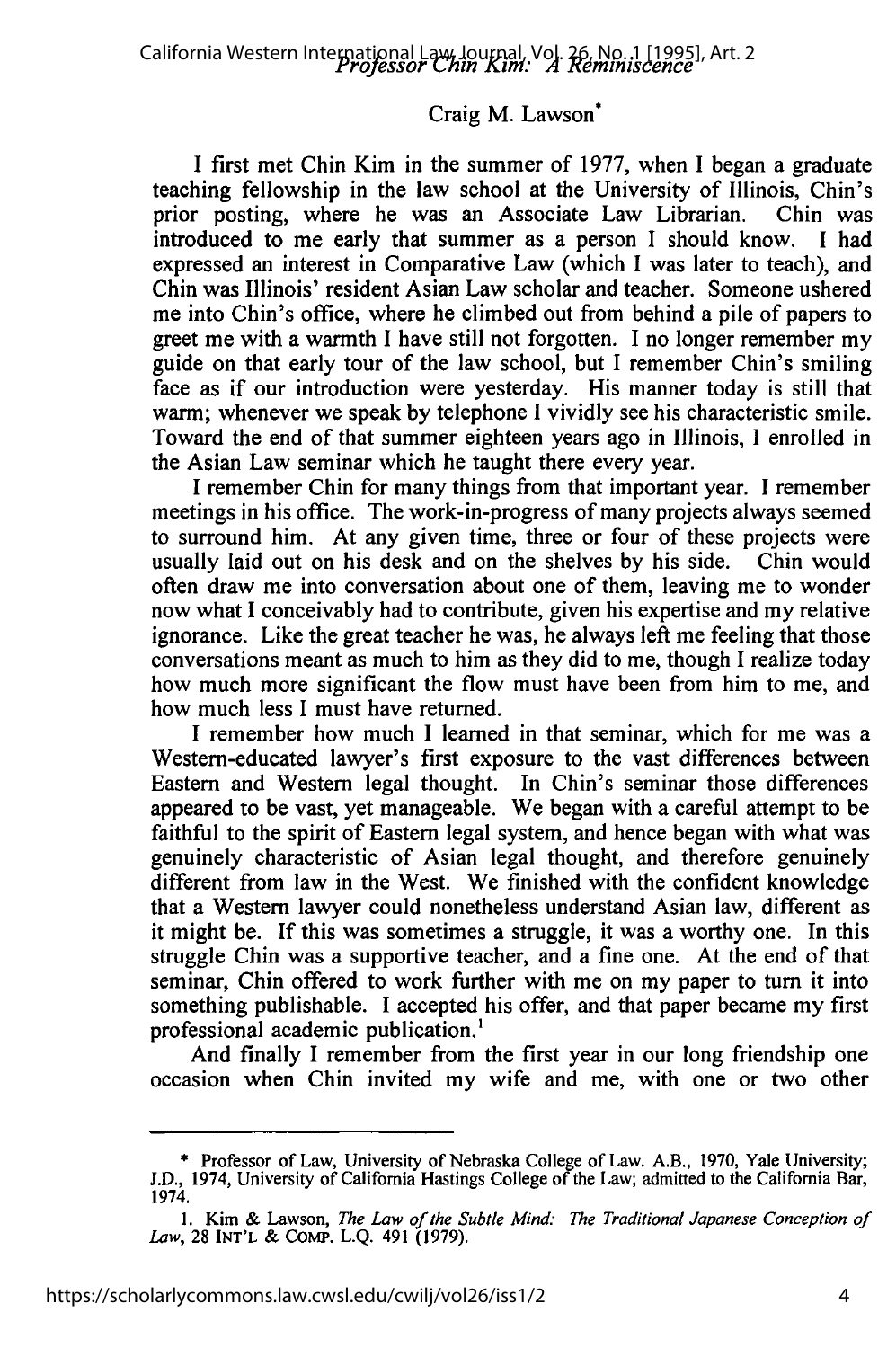## Craig M. Lawson'

I first met Chin Kim in the summer of 1977, when I began a graduate teaching fellowship in the law school at the University of Illinois, Chin's prior posting, where he was an Associate Law Librarian. Chin was introduced to me early that summer as a person I should know. I had expressed an interest in Comparative Law (which I was later to teach), and Chin was Illinois' resident Asian Law scholar and teacher. Someone ushered me into Chin's office, where he climbed out from behind a pile of papers to greet me with a warmth I have still not forgotten. I no longer remember my guide on that early tour of the law school, but I remember Chin's smiling face as if our introduction were yesterday. His manner today is still that warm; whenever we speak by telephone I vividly see his characteristic smile. Toward the end of that summer eighteen years ago in Illinois, I enrolled in the Asian Law seminar which he taught there every year.

I remember Chin for many things from that important year. I remember meetings in his office. The work-in-progress of many projects always seemed to surround him. At any given time, three or four of these projects were usually laid out on his desk and on the shelves by his side. Chin would often draw me into conversation about one of them, leaving me to wonder now what I conceivably had to contribute, given his expertise and my relative ignorance. Like the great teacher he was, he always left me feeling that those conversations meant as much to him as they did to me, though I realize today how much more significant the flow must have been from him to me, and how much less I must have returned.

I remember how much I learned in that seminar, which for me was a Western-educated lawyer's first exposure to the vast differences between Eastern and Western legal thought. In Chin's seminar those differences appeared to be vast, yet manageable. We began with a careful attempt to be faithful to the spirit of Eastern legal system, and hence began with what was genuinely characteristic of Asian legal thought, and therefore genuinely different from law in the West. We finished with the confident knowledge that a Western lawyer could nonetheless understand Asian law, different as it might be. If this was sometimes a struggle, it was a worthy one. In this struggle Chin was a supportive teacher, and a fine one. At the end of that seminar, Chin offered to work further with me on my paper to turn it into something publishable. I accepted his offer, and that paper became my first professional academic publication.'

And finally I remember from the first year in our long friendship one occasion when Chin invited my wife and me, with one or two other

**<sup>\*</sup>** Professor of Law, University of Nebraska College of Law. A.B., 1970, Yale University; J.D., 1974, University of California Hastings College of the Law; admitted to the California Bar, 1974.

**<sup>1.</sup>** Kim & Lawson, *The Law of the Subtle Mind: The Traditional Japanese Conception of Law,* 28 INT'L & COMP. L.Q. 491 (1979).